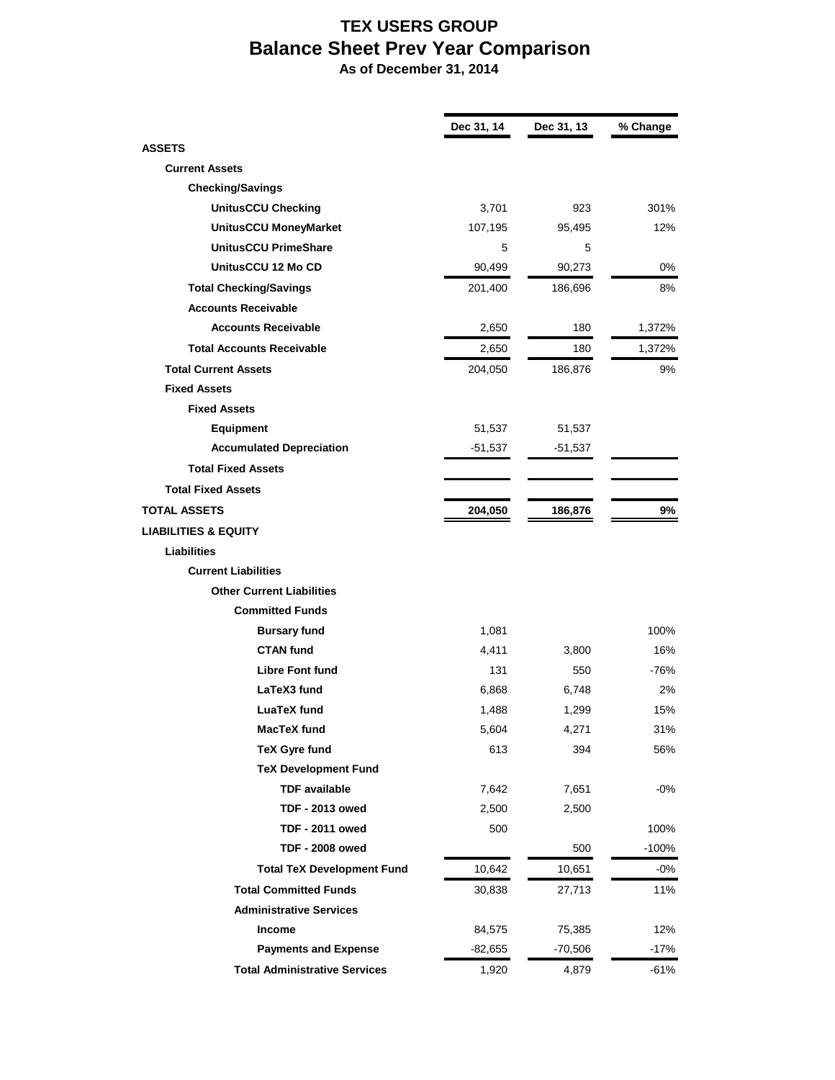## **TEX USERS GROUP Balance Sheet Prev Year Comparison**

 **As of December 31, 2014**

|                                      | Dec 31, 14 | Dec 31, 13 | % Change |
|--------------------------------------|------------|------------|----------|
| <b>ASSETS</b>                        |            |            |          |
| <b>Current Assets</b>                |            |            |          |
| <b>Checking/Savings</b>              |            |            |          |
| <b>UnitusCCU Checking</b>            | 3,701      | 923        | 301%     |
| UnitusCCU MoneyMarket                | 107,195    | 95,495     | 12%      |
| <b>UnitusCCU PrimeShare</b>          | 5          | 5          |          |
| UnitusCCU 12 Mo CD                   | 90,499     | 90,273     | 0%       |
| <b>Total Checking/Savings</b>        | 201,400    | 186,696    | 8%       |
| <b>Accounts Receivable</b>           |            |            |          |
| <b>Accounts Receivable</b>           | 2,650      | 180        | 1,372%   |
| <b>Total Accounts Receivable</b>     | 2,650      | 180        | 1,372%   |
| <b>Total Current Assets</b>          | 204,050    | 186,876    | 9%       |
| <b>Fixed Assets</b>                  |            |            |          |
| <b>Fixed Assets</b>                  |            |            |          |
| Equipment                            | 51,537     | 51,537     |          |
| <b>Accumulated Depreciation</b>      | -51,537    | -51,537    |          |
| <b>Total Fixed Assets</b>            |            |            |          |
| <b>Total Fixed Assets</b>            |            |            |          |
| <b>TOTAL ASSETS</b>                  | 204,050    | 186,876    | 9%       |
| <b>LIABILITIES &amp; EQUITY</b>      |            |            |          |
| <b>Liabilities</b>                   |            |            |          |
| <b>Current Liabilities</b>           |            |            |          |
| <b>Other Current Liabilities</b>     |            |            |          |
| <b>Committed Funds</b>               |            |            |          |
| <b>Bursary fund</b>                  | 1,081      |            | 100%     |
| <b>CTAN</b> fund                     | 4,411      | 3,800      | 16%      |
| <b>Libre Font fund</b>               | 131        | 550        | $-76%$   |
| LaTeX3 fund                          | 6,868      | 6,748      | 2%       |
| <b>LuaTeX</b> fund                   | 1,488      | 1,299      | 15%      |
| MacTeX fund                          | 5,604      | 4,271      | 31%      |
| <b>TeX Gyre fund</b>                 | 613        | 394        | 56%      |
| <b>TeX Development Fund</b>          |            |            |          |
| <b>TDF</b> available                 | 7,642      | 7,651      | $-0%$    |
| <b>TDF - 2013 owed</b>               | 2,500      | 2,500      |          |
| <b>TDF - 2011 owed</b>               | 500        |            | 100%     |
| <b>TDF - 2008 owed</b>               |            | 500        | $-100%$  |
| <b>Total TeX Development Fund</b>    | 10,642     | 10,651     | $-0\%$   |
| <b>Total Committed Funds</b>         | 30,838     | 27,713     | 11%      |
| <b>Administrative Services</b>       |            |            |          |
| Income                               | 84,575     | 75,385     | 12%      |
| <b>Payments and Expense</b>          | $-82,655$  | $-70,506$  | $-17%$   |
| <b>Total Administrative Services</b> | 1,920      | 4,879      | $-61%$   |